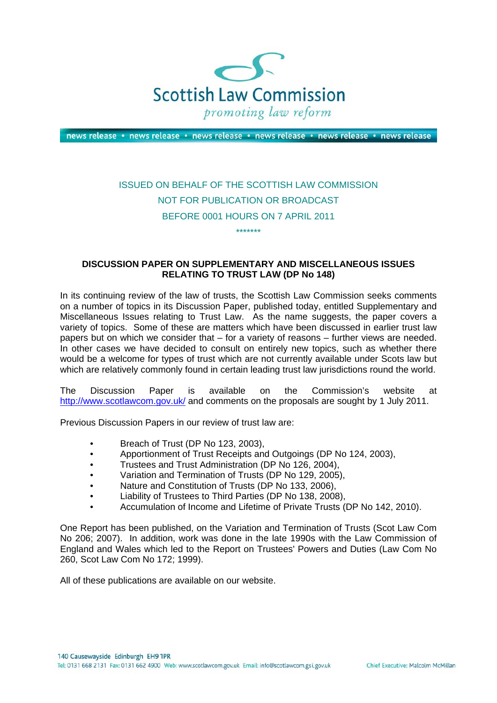

news release · news release · news release · news release · news release · news release

## ISSUED ON BEHALF OF THE SCOTTISH LAW COMMISSION NOT FOR PUBLICATION OR BROADCAST BEFORE 0001 HOURS ON 7 APRIL 2011 \*\*\*\*\*\*\*

## **DISCUSSION PAPER ON SUPPLEMENTARY AND MISCELLANEOUS ISSUES RELATING TO TRUST LAW (DP No 148)**

In its continuing review of the law of trusts, the Scottish Law Commission seeks comments on a number of topics in its Discussion Paper, published today, entitled Supplementary and Miscellaneous Issues relating to Trust Law. As the name suggests, the paper covers a variety of topics. Some of these are matters which have been discussed in earlier trust law papers but on which we consider that – for a variety of reasons – further views are needed. In other cases we have decided to consult on entirely new topics, such as whether there would be a welcome for types of trust which are not currently available under Scots law but which are relatively commonly found in certain leading trust law jurisdictions round the world.

The Discussion Paper is available on the Commission's website at <http://www.scotlawcom.gov.uk/> and comments on the proposals are sought by 1 July 2011.

Previous Discussion Papers in our review of trust law are:

- Breach of Trust (DP No 123, 2003),
- Apportionment of Trust Receipts and Outgoings (DP No 124, 2003),
- Trustees and Trust Administration (DP No 126, 2004),
- Variation and Termination of Trusts (DP No 129, 2005),
- Nature and Constitution of Trusts (DP No 133, 2006),
- Liability of Trustees to Third Parties (DP No 138, 2008),
- Accumulation of Income and Lifetime of Private Trusts (DP No 142, 2010).

One Report has been published, on the Variation and Termination of Trusts (Scot Law Com No 206; 2007). In addition, work was done in the late 1990s with the Law Commission of England and Wales which led to the Report on Trustees' Powers and Duties (Law Com No 260, Scot Law Com No 172; 1999).

All of these publications are available on our website.